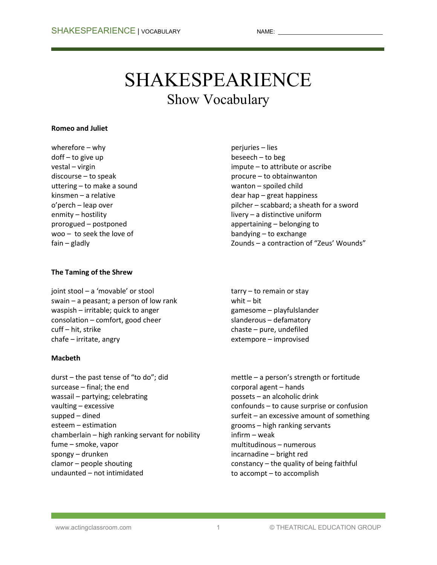# SHAKESPEARIENCE Show Vocabulary

#### **Romeo and Juliet**

wherefore – why doff – to give up vestal – virgin discourse – to speak uttering – to make a sound kinsmen – a relative o'perch – leap over enmity – hostility prorogued – postponed woo – to seek the love of fain – gladly

## **The Taming of the Shrew**

joint stool – a 'movable' or stool swain – a peasant; a person of low rank waspish – irritable; quick to anger consolation – comfort, good cheer cuff – hit, strike chafe – irritate, angry

### **Macbeth**

durst – the past tense of "to do"; did surcease – final; the end wassail – partying; celebrating vaulting – excessive supped – dined esteem – estimation chamberlain – high ranking servant for nobility fume – smoke, vapor spongy – drunken clamor – people shouting undaunted – not intimidated

perjuries – lies beseech – to beg impute – to attribute or ascribe procure – to obtainwanton wanton – spoiled child dear hap – great happiness pilcher – scabbard; a sheath for a sword livery – a distinctive uniform appertaining – belonging to bandying – to exchange Zounds – a contraction of "Zeus' Wounds"

tarry – to remain or stay whit – bit gamesome – playfulslander slanderous – defamatory chaste – pure, undefiled extempore – improvised

mettle – a person's strength or fortitude corporal agent – hands possets – an alcoholic drink confounds – to cause surprise or confusion surfeit – an excessive amount of something grooms – high ranking servants infirm – weak multitudinous – numerous incarnadine – bright red constancy – the quality of being faithful to accompt – to accomplish